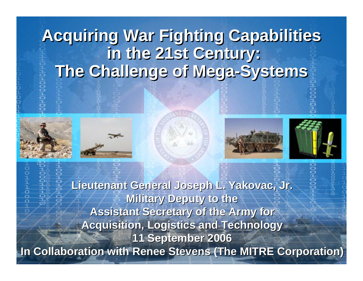### **Acquiring War Fighting Capabilities Acquiring War Fighting Capabilities in the 21st Century: in the 21st Century: The Challenge of Mega-Systems The Challenge of Mega-Systems**









**Lieutenant General Joseph L. Yakovac, Jr. Lieutenant General Joseph L. Yakovac, Jr. Military Deputy to the Military Deputy to the Assistant Secretary of the Army for Assistant Secretary of the Army for Acquisition, Logistics and Technology Acquisition, Logistics and Technology 11 September 2006 11 September 2006 In Collaboration with Renee Stevens (The MITRE Corporation) In Collaboration with Renee Stevens (The MITRE Corporation)**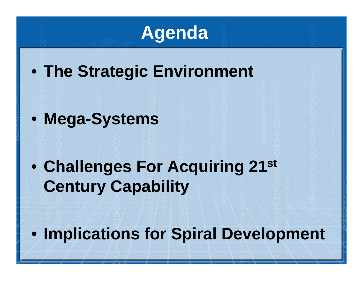### **Agenda**

### • **The Strategic Environment**

• **Mega-Systems**

 $\bullet$  **Challenges For Acquiring 21st Century Capability**

• **Implications for Spiral Development**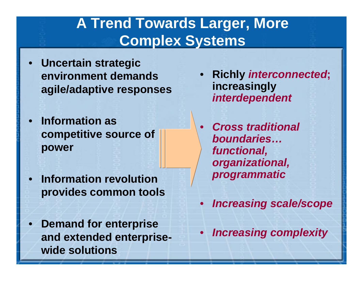### **A Trend Towards Larger, More Complex Systems**

- • **Uncertain strategic environment demands agile/adaptive responses**
- • **Information as competitive source of power**
- • **Information revolution provides common tools**
- $\bullet$  **Demand for enterprise and extended enterprisewide solutions**
- • **Richly** *interconnected***; increasingly**  *interdependent*
- • *Cross traditional boundaries…functional, organizational, programmatic*
- $\bullet$ *Increasing scale/scope*
- •*Increasing complexity*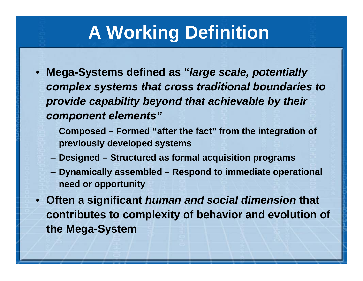# **A Working Definition**

- **Mega-Systems defined as "***large scale, potentially complex systems that cross traditional boundaries to provide capability beyond that achievable by their component elements"*
	- **Composed – Formed "after the fact" from the integration of previously developed systems**
	- **Designed – Structured as formal acquisition programs**
	- **Dynamically assembled – Respond to immediate operational need or opportunity**
- **Often a significant** *human and social dimension* **that contributes to complexity of behavior and evolution of the Mega-System**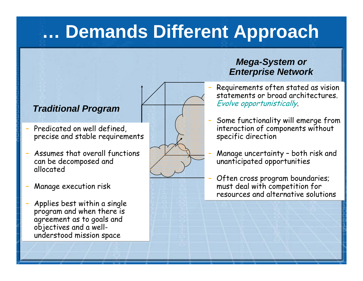# **… Demands Different Approach**

#### *Traditional Program*

- – Predicated on well defined, precise and stable requirements
- – Assumes that overall functions can be decomposed and allocated
- –Manage execution risk
- – Applies best within a single program and when there is agreement as to goals and objectives and a wellunderstood mission space



#### *Mega-System or Enterprise Network*

- – Requirements often stated as vision statements or broad architectures. Evolve opportunistically.
- Some functionality will emerge from interaction of components without specific direction
- – Manage uncertainty – both risk and unanticipated opportunities
- – Often cross program boundaries; must deal with competition for resources and alternative solutions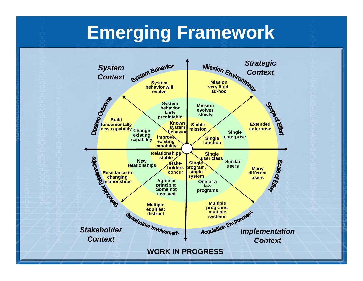### **Emerging Framework**

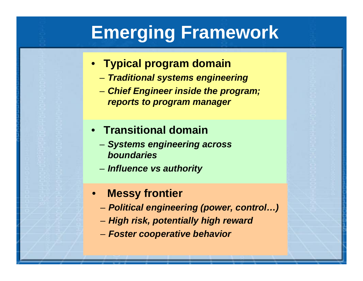# **Emerging Framework**

- **Typical program domain**
	- *Traditional systems engineering*
	- *Chief Engineer inside the program; reports to program manager*
- **Transitional domain**
	- *Systems engineering across boundaries*
	- *Influence vs authority*
- • **Messy frontier**
	- *Political engineering (power, control…)*
	- *High risk, potentially high reward*
	- *Foster cooperative behavior*